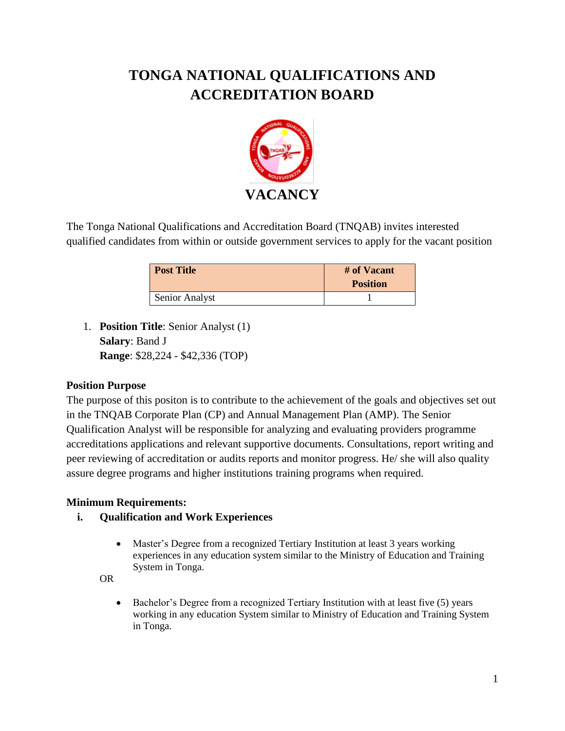# **TONGA NATIONAL QUALIFICATIONS AND ACCREDITATION BOARD**



The Tonga National Qualifications and Accreditation Board (TNQAB) invites interested qualified candidates from within or outside government services to apply for the vacant position

| <b>Post Title</b> | # of Vacant<br><b>Position</b> |
|-------------------|--------------------------------|
| Senior Analyst    |                                |

1. **Position Title**: Senior Analyst (1) **Salary**: Band J **Range**: \$28,224 - \$42,336 (TOP)

## **Position Purpose**

The purpose of this positon is to contribute to the achievement of the goals and objectives set out in the TNQAB Corporate Plan (CP) and Annual Management Plan (AMP). The Senior Qualification Analyst will be responsible for analyzing and evaluating providers programme accreditations applications and relevant supportive documents. Consultations, report writing and peer reviewing of accreditation or audits reports and monitor progress. He/ she will also quality assure degree programs and higher institutions training programs when required.

## **Minimum Requirements:**

- **i. Qualification and Work Experiences**
	- Master's Degree from a recognized Tertiary Institution at least 3 years working experiences in any education system similar to the Ministry of Education and Training System in Tonga.

OR

 Bachelor's Degree from a recognized Tertiary Institution with at least five (5) years working in any education System similar to Ministry of Education and Training System in Tonga.